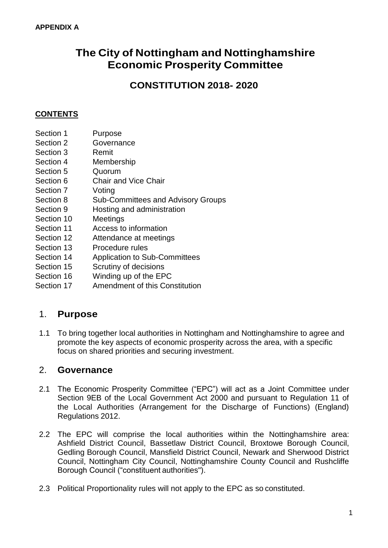# **The City of Nottingham and Nottinghamshire Economic Prosperity Committee**

**CONSTITUTION 2018- 2020**

### **CONTENTS**

- Section 1 Purpose
- Section 2 Governance
- Section 3 Remit
- Section 4 Membership
- Section 5 Quorum
- Section 6 Chair and Vice Chair
- Section 7 Voting
- Section 8 Sub-Committees and Advisory Groups
- Section 9 Hosting and administration
- Section 10 Meetings
- Section 11 Access to information
- Section 12 Attendance at meetings
- Section 13 Procedure rules
- Section 14 Application to Sub-Committees
- Section 15 Scrutiny of decisions
- Section 16 Winding up of the EPC
- Section 17 Amendment of this Constitution

# 1. **Purpose**

1.1 To bring together local authorities in Nottingham and Nottinghamshire to agree and promote the key aspects of economic prosperity across the area, with a specific focus on shared priorities and securing investment.

# 2. **Governance**

- 2.1 The Economic Prosperity Committee ("EPC") will act as a Joint Committee under Section 9EB of the Local Government Act 2000 and pursuant to Regulation 11 of the Local Authorities (Arrangement for the Discharge of Functions) (England) Regulations 2012.
- 2.2 The EPC will comprise the local authorities within the Nottinghamshire area: Ashfield District Council, Bassetlaw District Council, Broxtowe Borough Council, Gedling Borough Council, Mansfield District Council, Newark and Sherwood District Council, Nottingham City Council, Nottinghamshire County Council and Rushcliffe Borough Council ("constituent authorities").
- 2.3 Political Proportionality rules will not apply to the EPC as so constituted.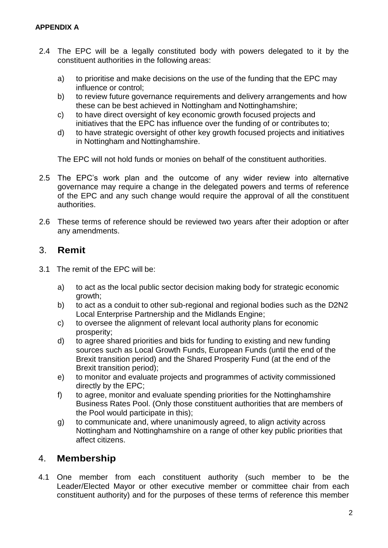- 2.4 The EPC will be a legally constituted body with powers delegated to it by the constituent authorities in the following areas:
	- a) to prioritise and make decisions on the use of the funding that the EPC may influence or control;
	- b) to review future governance requirements and delivery arrangements and how these can be best achieved in Nottingham and Nottinghamshire;
	- c) to have direct oversight of key economic growth focused projects and initiatives that the EPC has influence over the funding of or contributes to;
	- d) to have strategic oversight of other key growth focused projects and initiatives in Nottingham and Nottinghamshire.

The EPC will not hold funds or monies on behalf of the constituent authorities.

- 2.5 The EPC's work plan and the outcome of any wider review into alternative governance may require a change in the delegated powers and terms of reference of the EPC and any such change would require the approval of all the constituent authorities.
- 2.6 These terms of reference should be reviewed two years after their adoption or after any amendments.

# 3. **Remit**

- 3.1 The remit of the EPC will be:
	- a) to act as the local public sector decision making body for strategic economic growth;
	- b) to act as a conduit to other sub-regional and regional bodies such as the D2N2 Local Enterprise Partnership and the Midlands Engine;
	- c) to oversee the alignment of relevant local authority plans for economic prosperity;
	- d) to agree shared priorities and bids for funding to existing and new funding sources such as Local Growth Funds, European Funds (until the end of the Brexit transition period) and the Shared Prosperity Fund (at the end of the Brexit transition period);
	- e) to monitor and evaluate projects and programmes of activity commissioned directly by the EPC;
	- f) to agree, monitor and evaluate spending priorities for the Nottinghamshire Business Rates Pool. (Only those constituent authorities that are members of the Pool would participate in this);
	- g) to communicate and, where unanimously agreed, to align activity across Nottingham and Nottinghamshire on a range of other key public priorities that affect citizens.

# 4. **Membership**

4.1 One member from each constituent authority (such member to be the Leader/Elected Mayor or other executive member or committee chair from each constituent authority) and for the purposes of these terms of reference this member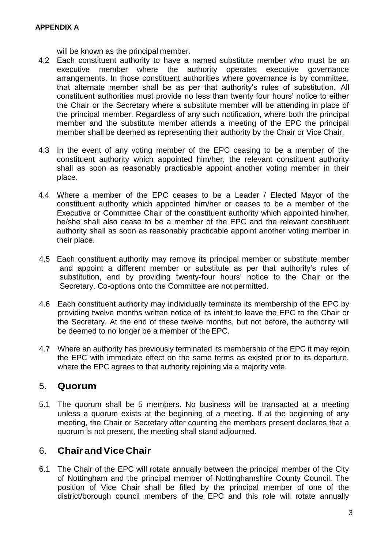will be known as the principal member.

- 4.2 Each constituent authority to have a named substitute member who must be an executive member where the authority operates executive governance arrangements. In those constituent authorities where governance is by committee, that alternate member shall be as per that authority's rules of substitution. All constituent authorities must provide no less than twenty four hours' notice to either the Chair or the Secretary where a substitute member will be attending in place of the principal member. Regardless of any such notification, where both the principal member and the substitute member attends a meeting of the EPC the principal member shall be deemed as representing their authority by the Chair or Vice Chair.
- 4.3 In the event of any voting member of the EPC ceasing to be a member of the constituent authority which appointed him/her, the relevant constituent authority shall as soon as reasonably practicable appoint another voting member in their place.
- 4.4 Where a member of the EPC ceases to be a Leader / Elected Mayor of the constituent authority which appointed him/her or ceases to be a member of the Executive or Committee Chair of the constituent authority which appointed him/her, he/she shall also cease to be a member of the EPC and the relevant constituent authority shall as soon as reasonably practicable appoint another voting member in their place.
- 4.5 Each constituent authority may remove its principal member or substitute member and appoint a different member or substitute as per that authority's rules of substitution, and by providing twenty-four hours' notice to the Chair or the Secretary. Co-options onto the Committee are not permitted.
- 4.6 Each constituent authority may individually terminate its membership of the EPC by providing twelve months written notice of its intent to leave the EPC to the Chair or the Secretary. At the end of these twelve months, but not before, the authority will be deemed to no longer be a member of the EPC.
- 4.7 Where an authority has previously terminated its membership of the EPC it may rejoin the EPC with immediate effect on the same terms as existed prior to its departure, where the EPC agrees to that authority rejoining via a majority vote.

# 5. **Quorum**

5.1 The quorum shall be 5 members. No business will be transacted at a meeting unless a quorum exists at the beginning of a meeting. If at the beginning of any meeting, the Chair or Secretary after counting the members present declares that a quorum is not present, the meeting shall stand adjourned.

# 6. **ChairandViceChair**

6.1 The Chair of the EPC will rotate annually between the principal member of the City of Nottingham and the principal member of Nottinghamshire County Council. The position of Vice Chair shall be filled by the principal member of one of the district/borough council members of the EPC and this role will rotate annually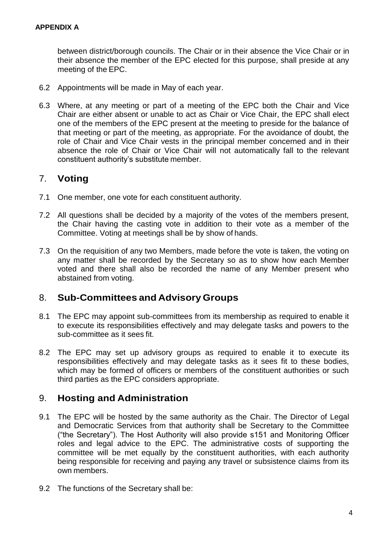between district/borough councils. The Chair or in their absence the Vice Chair or in their absence the member of the EPC elected for this purpose, shall preside at any meeting of the EPC.

- 6.2 Appointments will be made in May of each year.
- 6.3 Where, at any meeting or part of a meeting of the EPC both the Chair and Vice Chair are either absent or unable to act as Chair or Vice Chair, the EPC shall elect one of the members of the EPC present at the meeting to preside for the balance of that meeting or part of the meeting, as appropriate. For the avoidance of doubt, the role of Chair and Vice Chair vests in the principal member concerned and in their absence the role of Chair or Vice Chair will not automatically fall to the relevant constituent authority's substitute member.

# 7. **Voting**

- 7.1 One member, one vote for each constituent authority.
- 7.2 All questions shall be decided by a majority of the votes of the members present, the Chair having the casting vote in addition to their vote as a member of the Committee. Voting at meetings shall be by show of hands.
- 7.3 On the requisition of any two Members, made before the vote is taken, the voting on any matter shall be recorded by the Secretary so as to show how each Member voted and there shall also be recorded the name of any Member present who abstained from voting.

# 8. **Sub-Committees and Advisory Groups**

- 8.1 The EPC may appoint sub-committees from its membership as required to enable it to execute its responsibilities effectively and may delegate tasks and powers to the sub-committee as it sees fit.
- 8.2 The EPC may set up advisory groups as required to enable it to execute its responsibilities effectively and may delegate tasks as it sees fit to these bodies, which may be formed of officers or members of the constituent authorities or such third parties as the EPC considers appropriate.

# 9. **Hosting and Administration**

- 9.1 The EPC will be hosted by the same authority as the Chair. The Director of Legal and Democratic Services from that authority shall be Secretary to the Committee ("the Secretary"). The Host Authority will also provide s151 and Monitoring Officer roles and legal advice to the EPC. The administrative costs of supporting the committee will be met equally by the constituent authorities, with each authority being responsible for receiving and paying any travel or subsistence claims from its own members.
- 9.2 The functions of the Secretary shall be: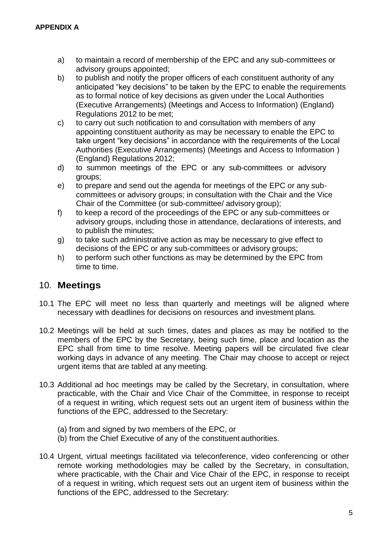- a) to maintain a record of membership of the EPC and any sub-committees or advisory groups appointed;
- b) to publish and notify the proper officers of each constituent authority of any anticipated "key decisions" to be taken by the EPC to enable the requirements as to formal notice of key decisions as given under the Local Authorities (Executive Arrangements) (Meetings and Access to Information) (England) Regulations 2012 to be met;
- c) to carry out such notification to and consultation with members of any appointing constituent authority as may be necessary to enable the EPC to take urgent "key decisions" in accordance with the requirements of the Local Authorities (Executive Arrangements) (Meetings and Access to Information ) (England) Regulations 2012;
- d) to summon meetings of the EPC or any sub-committees or advisory groups;
- e) to prepare and send out the agenda for meetings of the EPC or any subcommittees or advisory groups; in consultation with the Chair and the Vice Chair of the Committee (or sub-committee/ advisory group);
- f) to keep a record of the proceedings of the EPC or any sub-committees or advisory groups, including those in attendance, declarations of interests, and to publish the minutes;
- g) to take such administrative action as may be necessary to give effect to decisions of the EPC or any sub-committees or advisory groups;
- h) to perform such other functions as may be determined by the EPC from time to time.

# 10. **Meetings**

- 10.1 The EPC will meet no less than quarterly and meetings will be aligned where necessary with deadlines for decisions on resources and investment plans.
- 10.2 Meetings will be held at such times, dates and places as may be notified to the members of the EPC by the Secretary, being such time, place and location as the EPC shall from time to time resolve. Meeting papers will be circulated five clear working days in advance of any meeting. The Chair may choose to accept or reject urgent items that are tabled at any meeting.
- 10.3 Additional ad hoc meetings may be called by the Secretary, in consultation, where practicable, with the Chair and Vice Chair of the Committee, in response to receipt of a request in writing, which request sets out an urgent item of business within the functions of the EPC, addressed to the Secretary:
	- (a) from and signed by two members of the EPC, or
	- (b) from the Chief Executive of any of the constituent authorities.
- 10.4 Urgent, virtual meetings facilitated via teleconference, video conferencing or other remote working methodologies may be called by the Secretary, in consultation, where practicable, with the Chair and Vice Chair of the EPC, in response to receipt of a request in writing, which request sets out an urgent item of business within the functions of the EPC, addressed to the Secretary: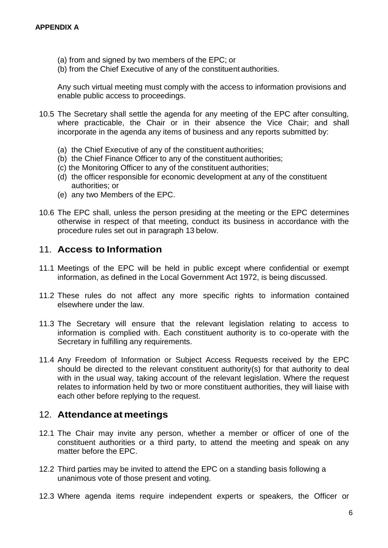- (a) from and signed by two members of the EPC; or
- (b) from the Chief Executive of any of the constituent authorities.

Any such virtual meeting must comply with the access to information provisions and enable public access to proceedings.

- 10.5 The Secretary shall settle the agenda for any meeting of the EPC after consulting, where practicable, the Chair or in their absence the Vice Chair; and shall incorporate in the agenda any items of business and any reports submitted by:
	- (a) the Chief Executive of any of the constituent authorities;
	- (b) the Chief Finance Officer to any of the constituent authorities;
	- (c) the Monitoring Officer to any of the constituent authorities;
	- (d) the officer responsible for economic development at any of the constituent authorities; or
	- (e) any two Members of the EPC.
- 10.6 The EPC shall, unless the person presiding at the meeting or the EPC determines otherwise in respect of that meeting, conduct its business in accordance with the procedure rules set out in paragraph 13 below.

### 11. **Access to Information**

- 11.1 Meetings of the EPC will be held in public except where confidential or exempt information, as defined in the Local Government Act 1972, is being discussed.
- 11.2 These rules do not affect any more specific rights to information contained elsewhere under the law.
- 11.3 The Secretary will ensure that the relevant legislation relating to access to information is complied with. Each constituent authority is to co-operate with the Secretary in fulfilling any requirements.
- 11.4 Any Freedom of Information or Subject Access Requests received by the EPC should be directed to the relevant constituent authority(s) for that authority to deal with in the usual way, taking account of the relevant legislation. Where the request relates to information held by two or more constituent authorities, they will liaise with each other before replying to the request.

### 12. **Attendance at meetings**

- 12.1 The Chair may invite any person, whether a member or officer of one of the constituent authorities or a third party, to attend the meeting and speak on any matter before the EPC.
- 12.2 Third parties may be invited to attend the EPC on a standing basis following a unanimous vote of those present and voting.
- 12.3 Where agenda items require independent experts or speakers, the Officer or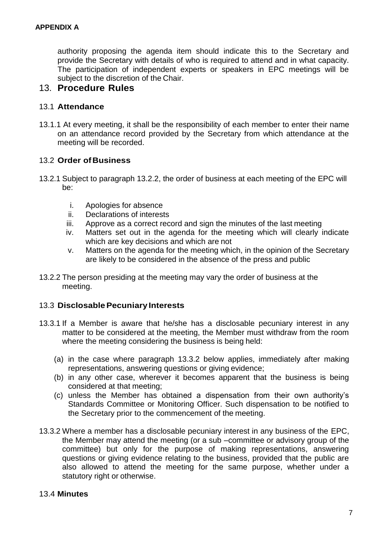authority proposing the agenda item should indicate this to the Secretary and provide the Secretary with details of who is required to attend and in what capacity. The participation of independent experts or speakers in EPC meetings will be subject to the discretion of the Chair.

#### 13. **Procedure Rules**

#### 13.1 **Attendance**

13.1.1 At every meeting, it shall be the responsibility of each member to enter their name on an attendance record provided by the Secretary from which attendance at the meeting will be recorded.

#### 13.2 **Order ofBusiness**

- 13.2.1 Subject to paragraph 13.2.2, the order of business at each meeting of the EPC will be:
	- i. Apologies for absence
	- ii. Declarations of interests
	- iii. Approve as a correct record and sign the minutes of the last meeting
	- iv. Matters set out in the agenda for the meeting which will clearly indicate which are key decisions and which are not
	- v. Matters on the agenda for the meeting which, in the opinion of the Secretary are likely to be considered in the absence of the press and public
- 13.2.2 The person presiding at the meeting may vary the order of business at the meeting.

#### 13.3 **DisclosablePecuniary Interests**

- 13.3.1 If a Member is aware that he/she has a disclosable pecuniary interest in any matter to be considered at the meeting, the Member must withdraw from the room where the meeting considering the business is being held:
	- (a) in the case where paragraph 13.3.2 below applies, immediately after making representations, answering questions or giving evidence;
	- (b) in any other case, wherever it becomes apparent that the business is being considered at that meeting;
	- (c) unless the Member has obtained a dispensation from their own authority's Standards Committee or Monitoring Officer. Such dispensation to be notified to the Secretary prior to the commencement of the meeting.
- 13.3.2 Where a member has a disclosable pecuniary interest in any business of the EPC, the Member may attend the meeting (or a sub –committee or advisory group of the committee) but only for the purpose of making representations, answering questions or giving evidence relating to the business, provided that the public are also allowed to attend the meeting for the same purpose, whether under a statutory right or otherwise.

#### 13.4 **Minutes**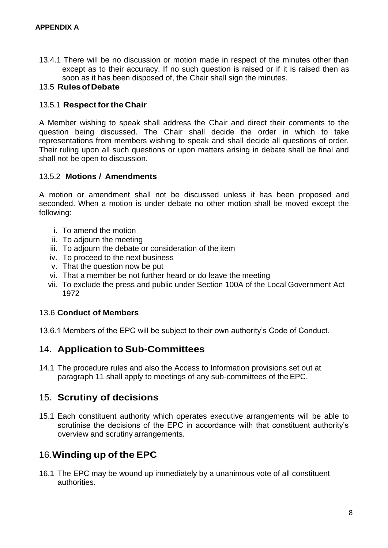13.4.1 There will be no discussion or motion made in respect of the minutes other than except as to their accuracy. If no such question is raised or if it is raised then as soon as it has been disposed of, the Chair shall sign the minutes.

#### 13.5 **RulesofDebate**

#### 13.5.1 **Respectforthe Chair**

A Member wishing to speak shall address the Chair and direct their comments to the question being discussed. The Chair shall decide the order in which to take representations from members wishing to speak and shall decide all questions of order. Their ruling upon all such questions or upon matters arising in debate shall be final and shall not be open to discussion.

#### 13.5.2 **Motions / Amendments**

A motion or amendment shall not be discussed unless it has been proposed and seconded. When a motion is under debate no other motion shall be moved except the following:

- i. To amend the motion
- ii. To adjourn the meeting
- iii. To adjourn the debate or consideration of the item
- iv. To proceed to the next business
- v. That the question now be put
- vi. That a member be not further heard or do leave the meeting
- vii. To exclude the press and public under Section 100A of the Local Government Act 1972

### 13.6 **Conduct of Members**

13.6.1 Members of the EPC will be subject to their own authority's Code of Conduct.

# 14. **Application to Sub-Committees**

14.1 The procedure rules and also the Access to Information provisions set out at paragraph 11 shall apply to meetings of any sub-committees of the EPC.

# 15. **Scrutiny of decisions**

15.1 Each constituent authority which operates executive arrangements will be able to scrutinise the decisions of the EPC in accordance with that constituent authority's overview and scrutiny arrangements.

# 16.**Winding up of the EPC**

16.1 The EPC may be wound up immediately by a unanimous vote of all constituent authorities.